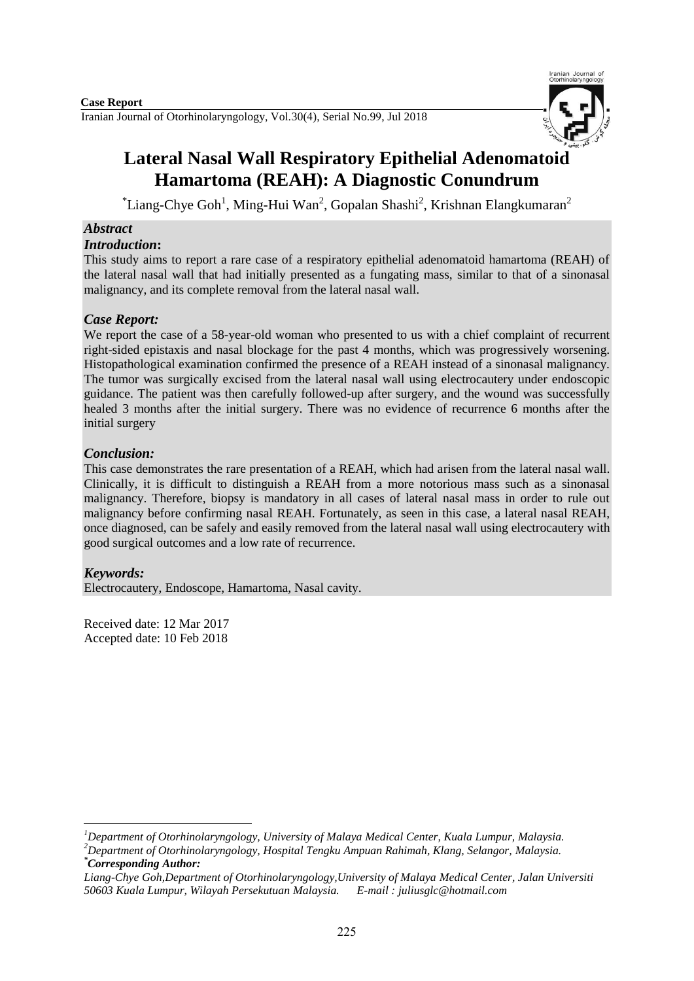

# **Lateral Nasal Wall Respiratory Epithelial Adenomatoid Hamartoma (REAH): A Diagnostic Conundrum**

 $\textsuperscript{*}$ Liang-Chye Goh<sup>1</sup>, Ming-Hui Wan<sup>2</sup>, Gopalan Shashi<sup>2</sup>, Krishnan Elangkumaran<sup>2</sup>

# *Abstract*

## *Introduction***:**

This study aims to report a rare case of a respiratory epithelial adenomatoid hamartoma (REAH) of the lateral nasal wall that had initially presented as a fungating mass, similar to that of a sinonasal malignancy, and its complete removal from the lateral nasal wall.

# *Case Report:*

We report the case of a 58-year-old woman who presented to us with a chief complaint of recurrent right-sided epistaxis and nasal blockage for the past 4 months, which was progressively worsening. Histopathological examination confirmed the presence of a REAH instead of a sinonasal malignancy. The tumor was surgically excised from the lateral nasal wall using electrocautery under endoscopic guidance. The patient was then carefully followed-up after surgery, and the wound was successfully healed 3 months after the initial surgery. There was no evidence of recurrence 6 months after the initial surgery

# *Conclusion:*

This case demonstrates the rare presentation of a REAH, which had arisen from the lateral nasal wall. Clinically, it is difficult to distinguish a REAH from a more notorious mass such as a sinonasal malignancy. Therefore, biopsy is mandatory in all cases of lateral nasal mass in order to rule out malignancy before confirming nasal REAH. Fortunately, as seen in this case, a lateral nasal REAH, once diagnosed, can be safely and easily removed from the lateral nasal wall using electrocautery with good surgical outcomes and a low rate of recurrence.

# *Keywords:*

Electrocautery, Endoscope, Hamartoma, Nasal cavity.

Received date: 12 Mar 2017 Accepted date: 10 Feb 2018

**.** *<sup>1</sup>Department of Otorhinolaryngology, University of Malaya Medical Center, Kuala Lumpur, Malaysia. <sup>2</sup>Department of Otorhinolaryngology, Hospital Tengku Ampuan Rahimah, Klang, Selangor, Malaysia. \*Corresponding Author:*

*Liang-Chye Goh,Department of Otorhinolaryngology,University of Malaya Medical Center, Jalan Universiti 50603 Kuala Lumpur, Wilayah Persekutuan Malaysia. E-mail [: juliusglc@hotmail.com](mailto:juliusglc@hotmail.com)*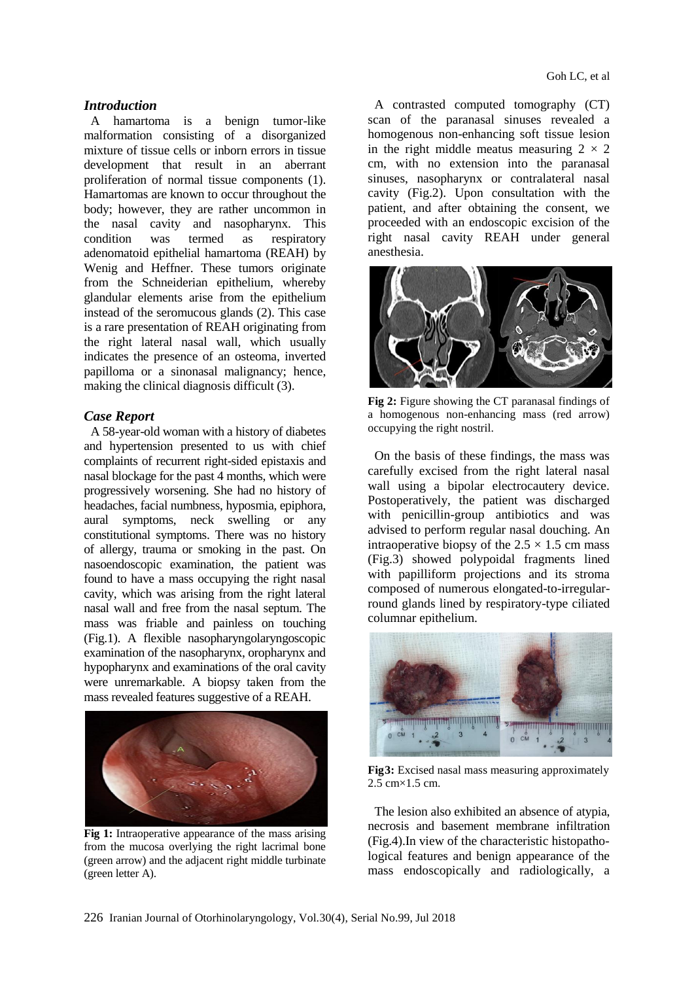#### *Introduction*

A hamartoma is a benign tumor-like malformation consisting of a disorganized mixture of tissue cells or inborn errors in tissue development that result in an aberrant proliferation of normal tissue components (1). Hamartomas are known to occur throughout the body; however, they are rather uncommon in the nasal cavity and nasopharynx. This condition was termed as respiratory adenomatoid epithelial hamartoma (REAH) by Wenig and Heffner. These tumors originate from the Schneiderian epithelium, whereby glandular elements arise from the epithelium instead of the seromucous glands (2). This case is a rare presentation of REAH originating from the right lateral nasal wall, which usually indicates the presence of an osteoma, inverted papilloma or a sinonasal malignancy; hence, making the clinical diagnosis difficult (3).

#### *Case Report*

A 58-year-old woman with a history of diabetes and hypertension presented to us with chief complaints of recurrent right-sided epistaxis and nasal blockage for the past 4 months, which were progressively worsening. She had no history of headaches, facial numbness, hyposmia, epiphora, aural symptoms, neck swelling or any constitutional symptoms. There was no history of allergy, trauma or smoking in the past. On nasoendoscopic examination, the patient was found to have a mass occupying the right nasal cavity, which was arising from the right lateral nasal wall and free from the nasal septum. The mass was friable and painless on touching (Fig.1). A flexible nasopharyngolaryngoscopic examination of the nasopharynx, oropharynx and hypopharynx and examinations of the oral cavity were unremarkable. A biopsy taken from the mass revealed features suggestive of a REAH.



**Fig 1:** Intraoperative appearance of the mass arising from the mucosa overlying the right lacrimal bone (green arrow) and the adjacent right middle turbinate (green letter A).

A contrasted computed tomography (CT) scan of the paranasal sinuses revealed a homogenous non-enhancing soft tissue lesion in the right middle meatus measuring  $2 \times 2$ cm, with no extension into the paranasal sinuses, nasopharynx or contralateral nasal cavity (Fig.2). Upon consultation with the patient, and after obtaining the consent, we proceeded with an endoscopic excision of the right nasal cavity REAH under general anesthesia.



**Fig 2:** Figure showing the CT paranasal findings of a homogenous non-enhancing mass (red arrow) occupying the right nostril.

On the basis of these findings, the mass was carefully excised from the right lateral nasal wall using a bipolar electrocautery device. Postoperatively, the patient was discharged with penicillin-group antibiotics and was advised to perform regular nasal douching. An intraoperative biopsy of the  $2.5 \times 1.5$  cm mass (Fig.3) showed polypoidal fragments lined with papilliform projections and its stroma composed of numerous elongated-to-irregularround glands lined by respiratory-type ciliated columnar epithelium.



**Fig3:** Excised nasal mass measuring approximately 2.5 cm×1.5 cm.

The lesion also exhibited an absence of atypia, necrosis and basement membrane infiltration (Fig.4).In view of the characteristic histopathological features and benign appearance of the mass endoscopically and radiologically, a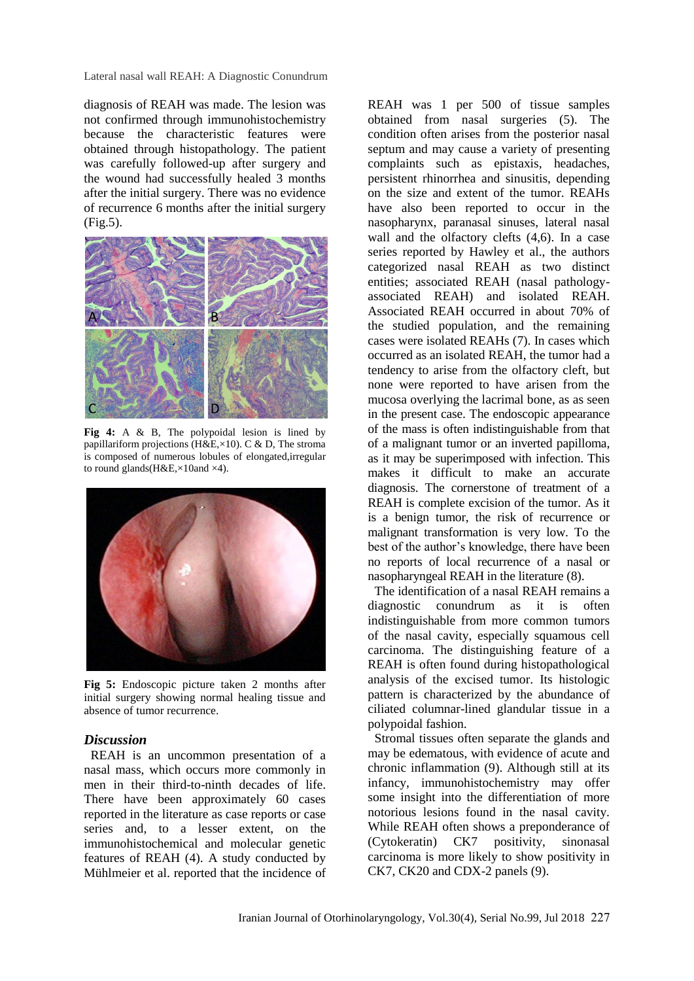Lateral nasal wall REAH: A Diagnostic Conundrum

diagnosis of REAH was made. The lesion was not confirmed through immunohistochemistry because the characteristic features were obtained through histopathology. The patient was carefully followed-up after surgery and the wound had successfully healed 3 months after the initial surgery. There was no evidence of recurrence 6 months after the initial surgery (Fig.5).



**Fig 4:** A & B, The polypoidal lesion is lined by papillariform projections (H&E,×10). C & D, The stroma is composed of numerous lobules of elongated,irregular to round glands( $H&E \times 10$ and  $\times 4$ ).



**Fig 5:** Endoscopic picture taken 2 months after initial surgery showing normal healing tissue and absence of tumor recurrence.

## *Discussion*

REAH is an uncommon presentation of a nasal mass, which occurs more commonly in men in their third-to-ninth decades of life. There have been approximately 60 cases reported in the literature as case reports or case series and, to a lesser extent, on the immunohistochemical and molecular genetic features of REAH (4). A study conducted by Mühlmeier et al. reported that the incidence of

REAH was 1 per 500 of tissue samples obtained from nasal surgeries (5). The condition often arises from the posterior nasal septum and may cause a variety of presenting complaints such as epistaxis, headaches, persistent rhinorrhea and sinusitis, depending on the size and extent of the tumor. REAHs have also been reported to occur in the nasopharynx, paranasal sinuses, lateral nasal wall and the olfactory clefts (4,6). In a case series reported by Hawley et al., the authors categorized nasal REAH as two distinct entities; associated REAH (nasal pathologyassociated REAH) and isolated REAH. Associated REAH occurred in about 70% of the studied population, and the remaining cases were isolated REAHs (7). In cases which occurred as an isolated REAH, the tumor had a tendency to arise from the olfactory cleft, but none were reported to have arisen from the mucosa overlying the lacrimal bone, as as seen in the present case. The endoscopic appearance of the mass is often indistinguishable from that of a malignant tumor or an inverted papilloma, as it may be superimposed with infection. This makes it difficult to make an accurate diagnosis. The cornerstone of treatment of a REAH is complete excision of the tumor. As it is a benign tumor, the risk of recurrence or malignant transformation is very low. To the best of the author's knowledge, there have been no reports of local recurrence of a nasal or nasopharyngeal REAH in the literature (8).

The identification of a nasal REAH remains a diagnostic conundrum as it is often indistinguishable from more common tumors of the nasal cavity, especially squamous cell carcinoma. The distinguishing feature of a REAH is often found during histopathological analysis of the excised tumor. Its histologic pattern is characterized by the abundance of ciliated columnar-lined glandular tissue in a polypoidal fashion.

Stromal tissues often separate the glands and may be edematous, with evidence of acute and chronic inflammation (9). Although still at its infancy, immunohistochemistry may offer some insight into the differentiation of more notorious lesions found in the nasal cavity. While REAH often shows a preponderance of (Cytokeratin) CK7 positivity, sinonasal carcinoma is more likely to show positivity in CK7, CK20 and CDX-2 panels (9).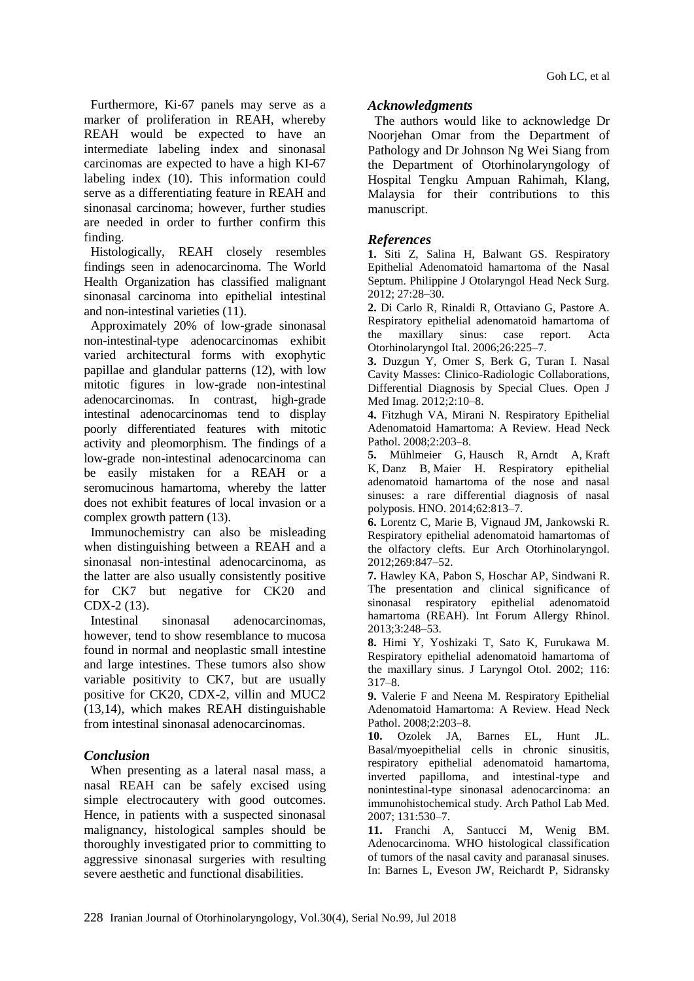Furthermore, Ki-67 panels may serve as a marker of proliferation in REAH, whereby REAH would be expected to have an intermediate labeling index and sinonasal carcinomas are expected to have a high KI-67 labeling index (10). This information could serve as a differentiating feature in REAH and sinonasal carcinoma; however, further studies are needed in order to further confirm this finding.

Histologically, REAH closely resembles findings seen in adenocarcinoma. The World Health Organization has classified malignant sinonasal carcinoma into epithelial intestinal and non-intestinal varieties (11).

Approximately 20% of low-grade sinonasal non-intestinal-type adenocarcinomas exhibit varied architectural forms with exophytic papillae and glandular patterns (12), with low mitotic figures in low-grade non-intestinal adenocarcinomas. In contrast, high-grade intestinal adenocarcinomas tend to display poorly differentiated features with mitotic activity and pleomorphism. The findings of a low-grade non-intestinal adenocarcinoma can be easily mistaken for a REAH or a seromucinous hamartoma, whereby the latter does not exhibit features of local invasion or a complex growth pattern (13).

Immunochemistry can also be misleading when distinguishing between a REAH and a sinonasal non-intestinal adenocarcinoma, as the latter are also usually consistently positive for CK7 but negative for CK20 and CDX-2 (13).

Intestinal sinonasal adenocarcinomas, however, tend to show resemblance to mucosa found in normal and neoplastic small intestine and large intestines. These tumors also show variable positivity to CK7, but are usually positive for CK20, CDX-2, villin and MUC2 (13,14), which makes REAH distinguishable from intestinal sinonasal adenocarcinomas.

## *Conclusion*

When presenting as a lateral nasal mass, a nasal REAH can be safely excised using simple electrocautery with good outcomes. Hence, in patients with a suspected sinonasal malignancy, histological samples should be thoroughly investigated prior to committing to aggressive sinonasal surgeries with resulting severe aesthetic and functional disabilities.

## *Acknowledgments*

The authors would like to acknowledge Dr Noorjehan Omar from the Department of Pathology and Dr Johnson Ng Wei Siang from the Department of Otorhinolaryngology of Hospital Tengku Ampuan Rahimah, Klang, Malaysia for their contributions to this manuscript.

## *References*

**1.** Siti Z, Salina H, Balwant GS. Respiratory Epithelial Adenomatoid hamartoma of the Nasal Septum. Philippine J Otolaryngol Head Neck Surg. 2012; 27:28–30.

**2.** Di Carlo R, Rinaldi R, Ottaviano G, Pastore A. Respiratory epithelial adenomatoid hamartoma of the maxillary sinus: case report. Acta Otorhinolaryngol Ital. 2006;26:225–7.

**3.** Duzgun Y, Omer S, Berk G, Turan I. Nasal Cavity Masses: Clinico-Radiologic Collaborations, Differential Diagnosis by Special Clues. Open J Med Imag. 2012;2:10–8.

**4.** Fitzhugh VA, Mirani N. Respiratory Epithelial Adenomatoid Hamartoma: A Review. Head Neck Pathol. 2008;2:203–8.

**5.** Mühlmeier G, Hausch R, Arndt A, Kraft K, Danz B, Maier H. Respiratory epithelial adenomatoid hamartoma of the nose and nasal sinuses: a rare differential diagnosis of nasal polyposis. HNO. 2014;62:813–7.

**6.** Lorentz C, Marie B, Vignaud JM, Jankowski R. Respiratory epithelial adenomatoid hamartomas of the olfactory clefts. Eur Arch Otorhinolaryngol. 2012;269:847–52.

**7.** Hawley KA, Pabon S, Hoschar AP, Sindwani R. The presentation and clinical significance of sinonasal respiratory epithelial adenomatoid hamartoma (REAH). Int Forum Allergy Rhinol. 2013;3:248–53.

**8.** Himi Y, Yoshizaki T, Sato K, Furukawa M. Respiratory epithelial adenomatoid hamartoma of the maxillary sinus. J Laryngol Otol. 2002; 116: 317–8.

**9.** Valerie F and Neena M. Respiratory Epithelial Adenomatoid Hamartoma: A Review. Head Neck Pathol. 2008;2:203–8.

**10.** Ozolek JA, Barnes EL, Hunt JL. Basal/myoepithelial cells in chronic sinusitis, respiratory epithelial adenomatoid hamartoma, inverted papilloma, and intestinal-type and nonintestinal-type sinonasal adenocarcinoma: an immunohistochemical study. Arch Pathol Lab Med. 2007; 131:530–7.

**11.** Franchi A, Santucci M, Wenig BM. Adenocarcinoma. WHO histological classification of tumors of the nasal cavity and paranasal sinuses. In: Barnes L, Eveson JW, Reichardt P, Sidransky